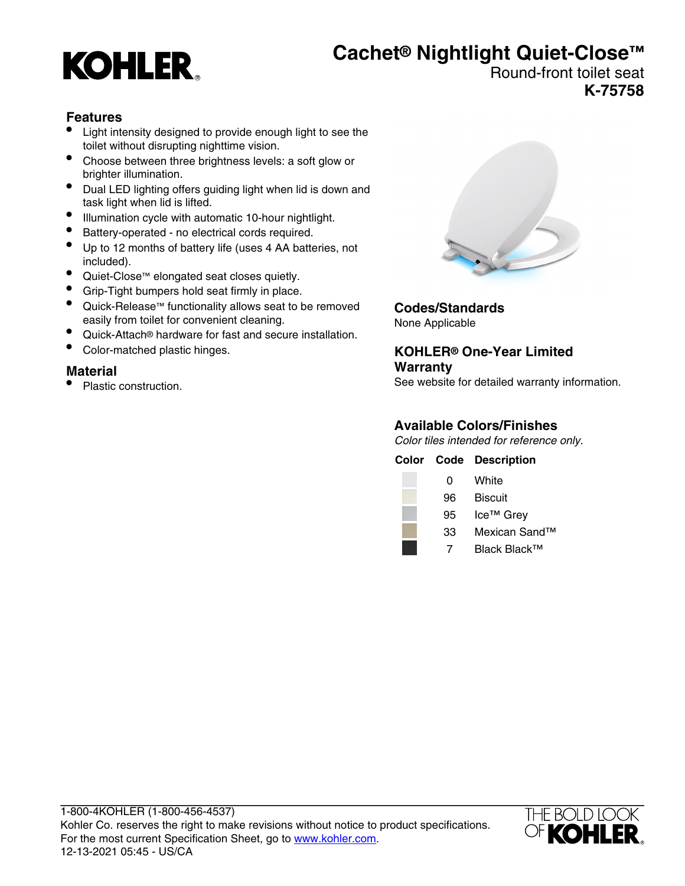# **KOHLER**

## **Cachet® Nightlight Quiet-Close™**

#### Round-front toilet seat **K-75758**

#### **Features**

- Light intensity designed to provide enough light to see the toilet without disrupting nighttime vision.
- Choose between three brightness levels: a soft glow or brighter illumination.
- Dual LED lighting offers guiding light when lid is down and task light when lid is lifted.
- Illumination cycle with automatic 10-hour nightlight.
- Battery-operated no electrical cords required.
- Up to 12 months of battery life (uses 4 AA batteries, not included).
- Quiet-Close™ elongated seat closes quietly.
- Grip-Tight bumpers hold seat firmly in place.
- Quick-Release™ functionality allows seat to be removed easily from toilet for convenient cleaning.
- Quick-Attach® hardware for fast and secure installation.
- Color-matched plastic hinges.

#### **Material**

• Plastic construction.



**Codes/Standards** None Applicable

#### **KOHLER® One-Year Limited Warranty**

See website for detailed warranty information.

#### **Available Colors/Finishes**

Color tiles intended for reference only.

|    | <b>Color Code Description</b> |
|----|-------------------------------|
| 0  | White                         |
| 96 | <b>Biscuit</b>                |
| 95 | Ice <sup>™</sup> Grey         |
| 33 | Mexican Sand™                 |
|    | Black Black™                  |